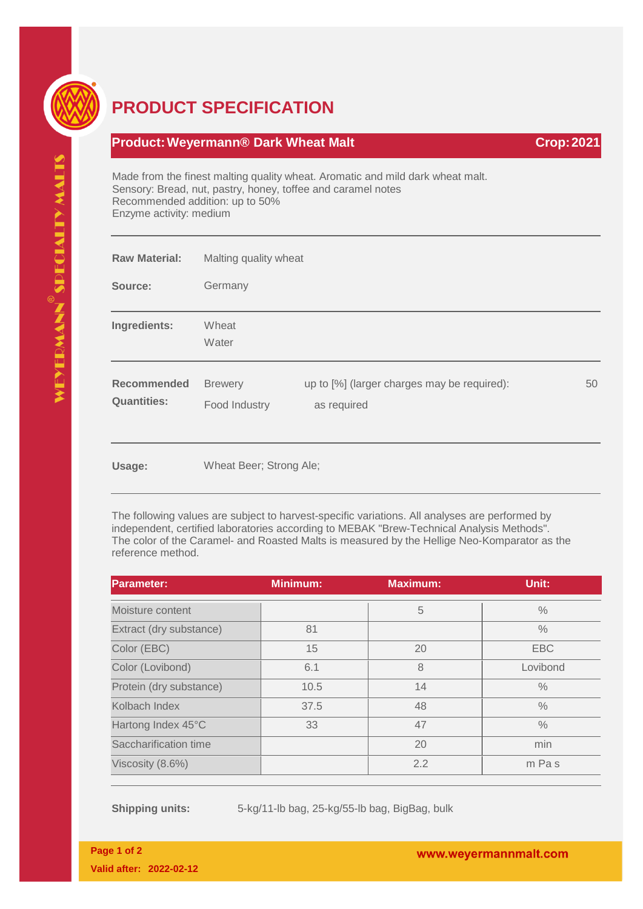

## **PRODUCT SPECIFICATION**

## **Product: Weyermann® Dark Wheat Malt Crop: 2021**

Made from the finest malting quality wheat. Aromatic and mild dark wheat malt. Sensory: Bread, nut, pastry, honey, toffee and caramel notes Recommended addition: up to 50% Enzyme activity: medium

| <b>Raw Material:</b>                     | Malting quality wheat           |                                                            |    |
|------------------------------------------|---------------------------------|------------------------------------------------------------|----|
| Source:                                  | Germany                         |                                                            |    |
| Ingredients:                             | Wheat<br>Water                  |                                                            |    |
| <b>Recommended</b><br><b>Quantities:</b> | <b>Brewery</b><br>Food Industry | up to [%] (larger charges may be required):<br>as required | 50 |
| Usage:                                   | Wheat Beer; Strong Ale;         |                                                            |    |

The following values are subject to harvest-specific variations. All analyses are performed by independent, certified laboratories according to MEBAK "Brew-Technical Analysis Methods". The color of the Caramel- and Roasted Malts is measured by the Hellige Neo-Komparator as the reference method.

| <b>Parameter:</b>       | <b>Minimum:</b> | <b>Maximum:</b> | Unit:         |
|-------------------------|-----------------|-----------------|---------------|
| Moisture content        |                 | 5               | $\%$          |
| Extract (dry substance) | 81              |                 | $\frac{0}{0}$ |
| Color (EBC)             | 15              | 20              | <b>EBC</b>    |
| Color (Lovibond)        | 6.1             | 8               | Lovibond      |
| Protein (dry substance) | 10.5            | 14              | $\frac{0}{0}$ |
| Kolbach Index           | 37.5            | 48              | $\frac{0}{0}$ |
| Hartong Index 45°C      | 33              | 47              | $\frac{0}{0}$ |
| Saccharification time   |                 | 20              | min           |
| Viscosity (8.6%)        |                 | 2.2             | m Pas         |

**Shipping units:** 5-kg/11-lb bag, 25-kg/55-lb bag, BigBag, bulk